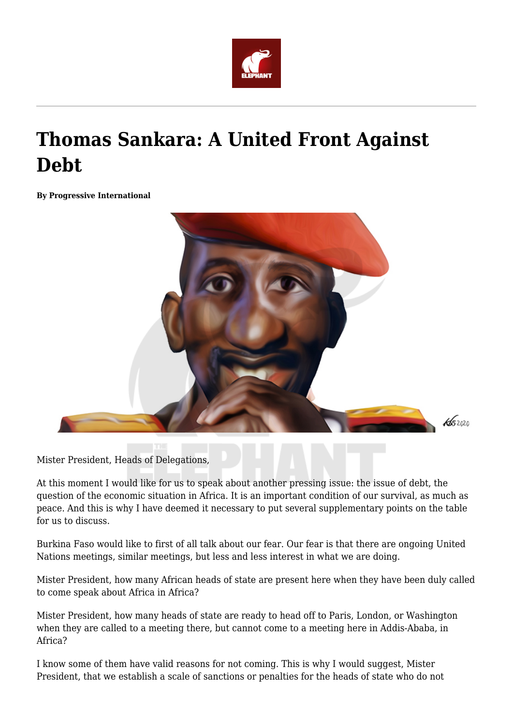

## **Thomas Sankara: A United Front Against Debt**

**By Progressive International**



Mister President, Heads of Delegations,

At this moment I would like for us to speak about another pressing issue: the issue of debt, the question of the economic situation in Africa. It is an important condition of our survival, as much as peace. And this is why I have deemed it necessary to put several supplementary points on the table for us to discuss.

Burkina Faso would like to first of all talk about our fear. Our fear is that there are ongoing United Nations meetings, similar meetings, but less and less interest in what we are doing.

Mister President, how many African heads of state are present here when they have been duly called to come speak about Africa in Africa?

Mister President, how many heads of state are ready to head off to Paris, London, or Washington when they are called to a meeting there, but cannot come to a meeting here in Addis-Ababa, in Africa?

I know some of them have valid reasons for not coming. This is why I would suggest, Mister President, that we establish a scale of sanctions or penalties for the heads of state who do not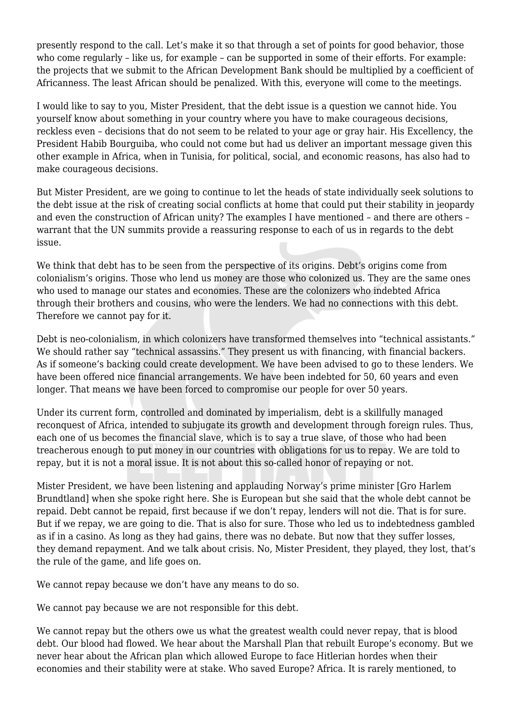presently respond to the call. Let's make it so that through a set of points for good behavior, those who come regularly – like us, for example – can be supported in some of their efforts. For example: the projects that we submit to the African Development Bank should be multiplied by a coefficient of Africanness. The least African should be penalized. With this, everyone will come to the meetings.

I would like to say to you, Mister President, that the debt issue is a question we cannot hide. You yourself know about something in your country where you have to make courageous decisions, reckless even – decisions that do not seem to be related to your age or gray hair. His Excellency, the President Habib Bourguiba, who could not come but had us deliver an important message given this other example in Africa, when in Tunisia, for political, social, and economic reasons, has also had to make courageous decisions.

But Mister President, are we going to continue to let the heads of state individually seek solutions to the debt issue at the risk of creating social conflicts at home that could put their stability in jeopardy and even the construction of African unity? The examples I have mentioned – and there are others – warrant that the UN summits provide a reassuring response to each of us in regards to the debt issue.

We think that debt has to be seen from the perspective of its origins. Debt's origins come from colonialism's origins. Those who lend us money are those who colonized us. They are the same ones who used to manage our states and economies. These are the colonizers who indebted Africa through their brothers and cousins, who were the lenders. We had no connections with this debt. Therefore we cannot pay for it.

Debt is neo-colonialism, in which colonizers have transformed themselves into "technical assistants." We should rather say "technical assassins." They present us with financing, with financial backers. As if someone's backing could create development. We have been advised to go to these lenders. We have been offered nice financial arrangements. We have been indebted for 50, 60 years and even longer. That means we have been forced to compromise our people for over 50 years.

Under its current form, controlled and dominated by imperialism, debt is a skillfully managed reconquest of Africa, intended to subjugate its growth and development through foreign rules. Thus, each one of us becomes the financial slave, which is to say a true slave, of those who had been treacherous enough to put money in our countries with obligations for us to repay. We are told to repay, but it is not a moral issue. It is not about this so-called honor of repaying or not.

Mister President, we have been listening and applauding Norway's prime minister [Gro Harlem Brundtland] when she spoke right here. She is European but she said that the whole debt cannot be repaid. Debt cannot be repaid, first because if we don't repay, lenders will not die. That is for sure. But if we repay, we are going to die. That is also for sure. Those who led us to indebtedness gambled as if in a casino. As long as they had gains, there was no debate. But now that they suffer losses, they demand repayment. And we talk about crisis. No, Mister President, they played, they lost, that's the rule of the game, and life goes on.

We cannot repay because we don't have any means to do so.

We cannot pay because we are not responsible for this debt.

We cannot repay but the others owe us what the greatest wealth could never repay, that is blood debt. Our blood had flowed. We hear about the Marshall Plan that rebuilt Europe's economy. But we never hear about the African plan which allowed Europe to face Hitlerian hordes when their economies and their stability were at stake. Who saved Europe? Africa. It is rarely mentioned, to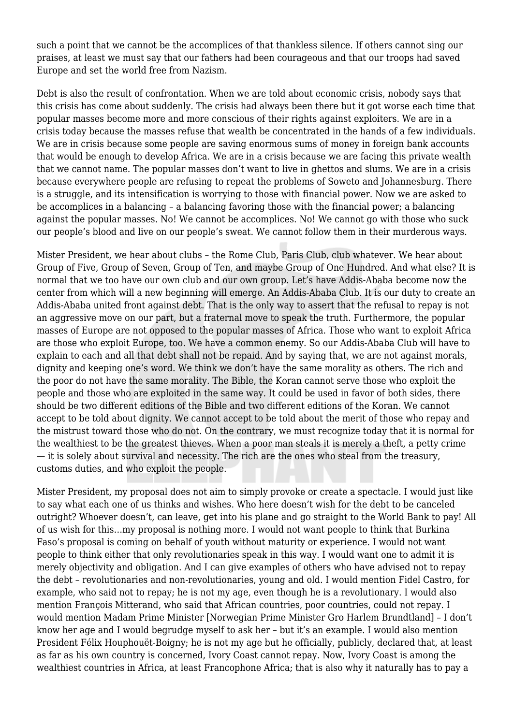such a point that we cannot be the accomplices of that thankless silence. If others cannot sing our praises, at least we must say that our fathers had been courageous and that our troops had saved Europe and set the world free from Nazism.

Debt is also the result of confrontation. When we are told about economic crisis, nobody says that this crisis has come about suddenly. The crisis had always been there but it got worse each time that popular masses become more and more conscious of their rights against exploiters. We are in a crisis today because the masses refuse that wealth be concentrated in the hands of a few individuals. We are in crisis because some people are saving enormous sums of money in foreign bank accounts that would be enough to develop Africa. We are in a crisis because we are facing this private wealth that we cannot name. The popular masses don't want to live in ghettos and slums. We are in a crisis because everywhere people are refusing to repeat the problems of Soweto and Johannesburg. There is a struggle, and its intensification is worrying to those with financial power. Now we are asked to be accomplices in a balancing – a balancing favoring those with the financial power; a balancing against the popular masses. No! We cannot be accomplices. No! We cannot go with those who suck our people's blood and live on our people's sweat. We cannot follow them in their murderous ways.

Mister President, we hear about clubs – the Rome Club, Paris Club, club whatever. We hear about Group of Five, Group of Seven, Group of Ten, and maybe Group of One Hundred. And what else? It is normal that we too have our own club and our own group. Let's have Addis-Ababa become now the center from which will a new beginning will emerge. An Addis-Ababa Club. It is our duty to create an Addis-Ababa united front against debt. That is the only way to assert that the refusal to repay is not an aggressive move on our part, but a fraternal move to speak the truth. Furthermore, the popular masses of Europe are not opposed to the popular masses of Africa. Those who want to exploit Africa are those who exploit Europe, too. We have a common enemy. So our Addis-Ababa Club will have to explain to each and all that debt shall not be repaid. And by saying that, we are not against morals, dignity and keeping one's word. We think we don't have the same morality as others. The rich and the poor do not have the same morality. The Bible, the Koran cannot serve those who exploit the people and those who are exploited in the same way. It could be used in favor of both sides, there should be two different editions of the Bible and two different editions of the Koran. We cannot accept to be told about dignity. We cannot accept to be told about the merit of those who repay and the mistrust toward those who do not. On the contrary, we must recognize today that it is normal for the wealthiest to be the greatest thieves. When a poor man steals it is merely a theft, a petty crime — it is solely about survival and necessity. The rich are the ones who steal from the treasury, customs duties, and who exploit the people.

Mister President, my proposal does not aim to simply provoke or create a spectacle. I would just like to say what each one of us thinks and wishes. Who here doesn't wish for the debt to be canceled outright? Whoever doesn't, can leave, get into his plane and go straight to the World Bank to pay! All of us wish for this…my proposal is nothing more. I would not want people to think that Burkina Faso's proposal is coming on behalf of youth without maturity or experience. I would not want people to think either that only revolutionaries speak in this way. I would want one to admit it is merely objectivity and obligation. And I can give examples of others who have advised not to repay the debt – revolutionaries and non-revolutionaries, young and old. I would mention Fidel Castro, for example, who said not to repay; he is not my age, even though he is a revolutionary. I would also mention François Mitterand, who said that African countries, poor countries, could not repay. I would mention Madam Prime Minister [Norwegian Prime Minister Gro Harlem Brundtland] – I don't know her age and I would begrudge myself to ask her – but it's an example. I would also mention President Félix Houphouët-Boigny; he is not my age but he officially, publicly, declared that, at least as far as his own country is concerned, Ivory Coast cannot repay. Now, Ivory Coast is among the wealthiest countries in Africa, at least Francophone Africa; that is also why it naturally has to pay a